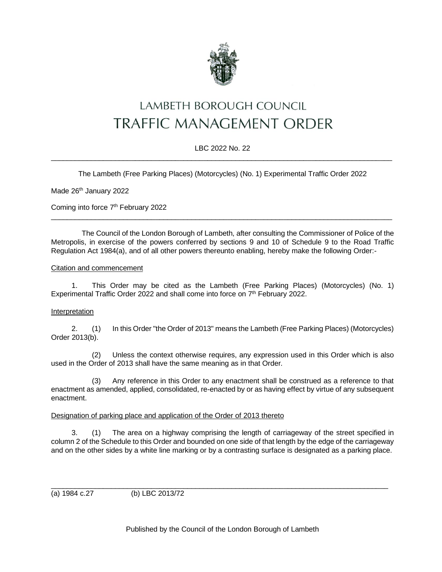

# LAMBETH BOROUGH COUNCIL **TRAFFIC MANAGEMENT ORDER**

# LBC 2022 No. 22  $\_$  , and the set of the set of the set of the set of the set of the set of the set of the set of the set of the set of the set of the set of the set of the set of the set of the set of the set of the set of the set of th

The Lambeth (Free Parking Places) (Motorcycles) (No. 1) Experimental Traffic Order 2022

Made 26<sup>th</sup> January 2022

Coming into force 7<sup>th</sup> February 2022

The Council of the London Borough of Lambeth, after consulting the Commissioner of Police of the Metropolis, in exercise of the powers conferred by sections 9 and 10 of Schedule 9 to the Road Traffic Regulation Act 1984(a), and of all other powers thereunto enabling, hereby make the following Order:-

 $\_$  , and the state of the state of the state of the state of the state of the state of the state of the state of the state of the state of the state of the state of the state of the state of the state of the state of the

#### Citation and commencement

1. This Order may be cited as the Lambeth (Free Parking Places) (Motorcycles) (No. 1) Experimental Traffic Order 2022 and shall come into force on 7<sup>th</sup> February 2022.

#### Interpretation

2. (1) In this Order "the Order of 2013" means the Lambeth (Free Parking Places) (Motorcycles) Order 2013(b).

(2) Unless the context otherwise requires, any expression used in this Order which is also used in the Order of 2013 shall have the same meaning as in that Order.

(3) Any reference in this Order to any enactment shall be construed as a reference to that enactment as amended, applied, consolidated, re-enacted by or as having effect by virtue of any subsequent enactment.

#### Designation of parking place and application of the Order of 2013 thereto

3. (1) The area on a highway comprising the length of carriageway of the street specified in column 2 of the Schedule to this Order and bounded on one side of that length by the edge of the carriageway and on the other sides by a white line marking or by a contrasting surface is designated as a parking place.

(a) 1984 c.27 (b) LBC 2013/72

Published by the Council of the London Borough of Lambeth

\_\_\_\_\_\_\_\_\_\_\_\_\_\_\_\_\_\_\_\_\_\_\_\_\_\_\_\_\_\_\_\_\_\_\_\_\_\_\_\_\_\_\_\_\_\_\_\_\_\_\_\_\_\_\_\_\_\_\_\_\_\_\_\_\_\_\_\_\_\_\_\_\_\_\_\_\_\_\_\_\_\_\_\_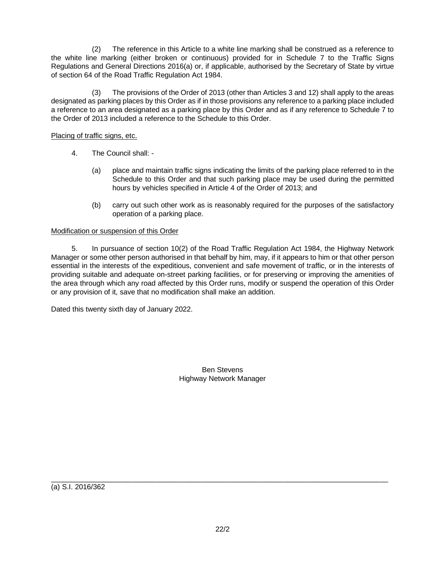(2) The reference in this Article to a white line marking shall be construed as a reference to the white line marking (either broken or continuous) provided for in Schedule 7 to the Traffic Signs Regulations and General Directions 2016(a) or, if applicable, authorised by the Secretary of State by virtue of section 64 of the Road Traffic Regulation Act 1984.

(3) The provisions of the Order of 2013 (other than Articles 3 and 12) shall apply to the areas designated as parking places by this Order as if in those provisions any reference to a parking place included a reference to an area designated as a parking place by this Order and as if any reference to Schedule 7 to the Order of 2013 included a reference to the Schedule to this Order.

## Placing of traffic signs, etc.

- 4. The Council shall:
	- (a) place and maintain traffic signs indicating the limits of the parking place referred to in the Schedule to this Order and that such parking place may be used during the permitted hours by vehicles specified in Article 4 of the Order of 2013; and
	- (b) carry out such other work as is reasonably required for the purposes of the satisfactory operation of a parking place.

### Modification or suspension of this Order

5. In pursuance of section 10(2) of the Road Traffic Regulation Act 1984, the Highway Network Manager or some other person authorised in that behalf by him, may, if it appears to him or that other person essential in the interests of the expeditious, convenient and safe movement of traffic, or in the interests of providing suitable and adequate on-street parking facilities, or for preserving or improving the amenities of the area through which any road affected by this Order runs, modify or suspend the operation of this Order or any provision of it, save that no modification shall make an addition.

Dated this twenty sixth day of January 2022.

Ben Stevens Highway Network Manager

(a) S.I. 2016/362

\_\_\_\_\_\_\_\_\_\_\_\_\_\_\_\_\_\_\_\_\_\_\_\_\_\_\_\_\_\_\_\_\_\_\_\_\_\_\_\_\_\_\_\_\_\_\_\_\_\_\_\_\_\_\_\_\_\_\_\_\_\_\_\_\_\_\_\_\_\_\_\_\_\_\_\_\_\_\_\_\_\_\_\_